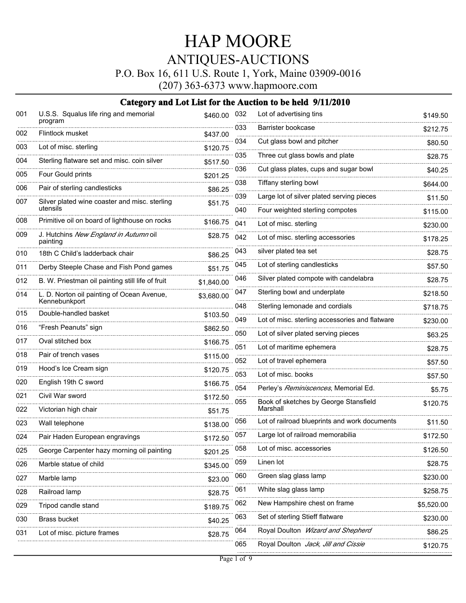P.O. Box 16, 611 U.S. Route 1, York, Maine 03909-0016

(207) 363-6373 www.hapmoore.com

| 001 | U.S.S. Squalus life ring and memorial<br>program  | \$460.00     | 032 | Lot of advertising tins                        | \$149.50   |
|-----|---------------------------------------------------|--------------|-----|------------------------------------------------|------------|
| 002 | Flintlock musket                                  | \$437.00     | 033 | Barrister bookcase                             | \$212.75   |
| 003 | Lot of misc. sterling                             | \$120.75     | 034 | Cut glass bowl and pitcher                     | \$80.50    |
| 004 | Sterling flatware set and misc. coin silver       | \$517.50     | 035 | Three cut glass bowls and plate                | \$28.75    |
| 005 | Four Gould prints                                 | <br>\$201.25 | 036 | Cut glass plates, cups and sugar bowl          | \$40.25    |
| 006 | Pair of sterling candlesticks                     | \$86.25      | 038 | Tiffany sterling bowl                          | \$644.00   |
| 007 | Silver plated wine coaster and misc. sterling     | \$51.75      | 039 | Large lot of silver plated serving pieces      | \$11.50    |
|     | utensils                                          |              | 040 | Four weighted sterling compotes                | \$115.00   |
| 008 | Primitive oil on board of lighthouse on rocks     | \$166.75     | 041 | Lot of misc. sterling                          | \$230.00   |
| 009 | J. Hutchins New England in Autumn oil<br>painting | \$28.75      | 042 | Lot of misc. sterling accessories              | \$178.25   |
| 010 | 18th C Child's ladderback chair                   | \$86.25      | 043 | silver plated tea set                          | \$28.75    |
| 011 | Derby Steeple Chase and Fish Pond games           | \$51.75      | 045 | Lot of sterling candlesticks                   | \$57.50    |
| 012 | B. W. Priestman oil painting still life of fruit  | \$1,840.00   | 046 | Silver plated compote with candelabra          | \$28.75    |
| 014 | L. D. Norton oil painting of Ocean Avenue,        | \$3,680.00   | 047 | Sterling bowl and underplate                   | \$218.50   |
|     | Kennebunkport                                     |              | 048 | Sterling lemonade and cordials                 | \$718.75   |
| 015 | Double-handled basket                             | \$103.50     | 049 | Lot of misc. sterling accessories and flatware | \$230.00   |
| 016 | "Fresh Peanuts" sign                              | \$862.50     | 050 | Lot of silver plated serving pieces            | \$63.25    |
| 017 | Oval stitched box                                 | \$166.75     | 051 | Lot of maritime ephemera                       | \$28.75    |
| 018 | Pair of trench vases                              | \$115.00     | 052 | Lot of travel ephemera                         | \$57.50    |
| 019 | Hood's Ice Cream sign                             | \$120.75     | 053 | Lot of misc. books                             | \$57.50    |
| 020 | English 19th C sword                              | \$166.75     | 054 | Perley's Reminiscences, Memorial Ed.           | \$5.75     |
| 021 | Civil War sword                                   | \$172.50     | 055 | Book of sketches by George Stansfield          | \$120.75   |
| 022 | Victorian high chair                              | \$51.75      |     | Marshall                                       |            |
| 023 | Wall telephone                                    | \$138.00     | 056 | Lot of railroad blueprints and work documents  | \$11.50    |
| 024 | Pair Haden European engravings                    | \$172.50     | 057 | Large lot of railroad memorabilia              | \$172.50   |
| 025 | George Carpenter hazy morning oil painting        | \$201.25     | 058 | Lot of misc. accessories                       | \$126.50   |
| 026 | Marble statue of child                            | \$345.00     | 059 | Linen lot                                      | \$28.75    |
| 027 | Marble lamp                                       | \$23.00      | 060 | Green slag glass lamp                          | \$230.00   |
| 028 | Railroad lamp                                     | \$28.75      | 061 | White slag glass lamp                          | \$258.75   |
| 029 | Tripod candle stand                               | \$189.75     | 062 | New Hampshire chest on frame                   | \$5,520.00 |
| 030 | Brass bucket                                      | \$40.25      | 063 | Set of sterling Stieff flatware                | \$230.00   |
| 031 | Lot of misc. picture frames                       | \$28.75      | 064 | Royal Doulton Wizard and Shepherd              | \$86.25    |
|     |                                                   |              | 065 | Royal Doulton Jack, Jill and Cissie            | \$120.75   |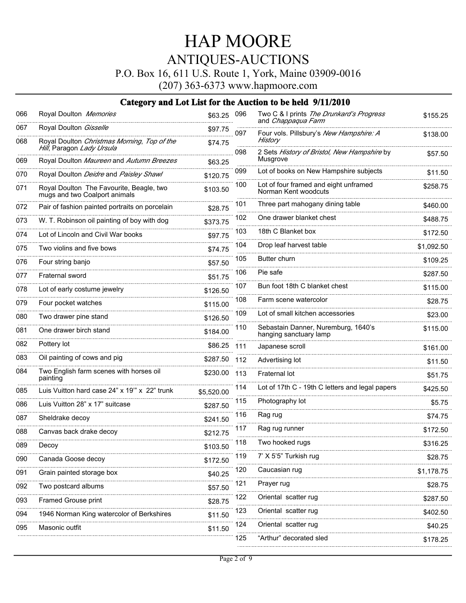P.O. Box 16, 611 U.S. Route 1, York, Maine 03909-0016

(207) 363-6373 www.hapmoore.com

| 066 | Royal Doulton Memories                                                    | \$63.25    | 096 | Two C & I prints The Drunkard's Progress<br>and Chappaqua Farm | \$155.25   |
|-----|---------------------------------------------------------------------------|------------|-----|----------------------------------------------------------------|------------|
| 067 | Royal Doulton Gisselle                                                    | \$97.75    | 097 | Four vols. Pillsbury's New Hampshire: A                        | \$138.00   |
| 068 | Royal Doulton Christmas Morning, Top of the<br>Hill, Paragon Lady Ursula  | \$74.75    |     | History                                                        |            |
| 069 | Royal Doulton Maureen and Autumn Breezes                                  | \$63.25    | 098 | 2 Sets History of Bristol, New Hampshire by<br>Musgrove        | \$57.50    |
| 070 | Royal Doulton Deidre and Paisley Shawl                                    | \$120.75   | 099 | Lot of books on New Hampshire subjects                         | \$11.50    |
| 071 | Royal Doulton The Favourite, Beagle, two<br>mugs and two Coalport animals | \$103.50   | 100 | Lot of four framed and eight unframed<br>Norman Kent woodcuts  | \$258.75   |
| 072 | Pair of fashion painted portraits on porcelain                            | \$28.75    | 101 | Three part mahogany dining table                               | \$460.00   |
| 073 | W. T. Robinson oil painting of boy with dog                               | \$373.75   | 102 | One drawer blanket chest                                       | \$488.75   |
| 074 | Lot of Lincoln and Civil War books                                        | \$97.75    | 103 | 18th C Blanket box                                             | \$172.50   |
| 075 | Two violins and five bows                                                 | \$74.75    | 104 | Drop leaf harvest table                                        | \$1,092.50 |
| 076 | Four string banjo                                                         | \$57.50    | 105 | Butter churn                                                   | \$109.25   |
| 077 | Fraternal sword                                                           | \$51.75    | 106 | Pie safe                                                       | \$287.50   |
| 078 | Lot of early costume jewelry                                              | \$126.50   | 107 | Bun foot 18th C blanket chest                                  | \$115.00   |
| 079 | Four pocket watches                                                       | \$115.00   | 108 | Farm scene watercolor                                          | \$28.75    |
| 080 | Two drawer pine stand                                                     | \$126.50   | 109 | Lot of small kitchen accessories                               | \$23.00    |
| 081 | One drawer birch stand                                                    | \$184.00   | 110 | Sebastain Danner, Nuremburg, 1640's<br>hanging sanctuary lamp  | \$115.00   |
| 082 | Pottery lot                                                               | \$86.25    | 111 | Japanese scroll                                                | \$161.00   |
| 083 | Oil painting of cows and pig                                              | \$287.50   | 112 | Advertising lot                                                | \$11.50    |
| 084 | Two English farm scenes with horses oil<br>painting                       | \$230.00   | 113 | Fraternal lot                                                  | \$51.75    |
| 085 | Luis Vuitton hard case 24" x 19" x 22" trunk                              | \$5,520.00 | 114 | Lot of 17th C - 19th C letters and legal papers                | \$425.50   |
| 086 | Luis Vuitton 28" x 17" suitcase                                           | \$287.50   | 115 | Photography lot                                                | \$5.75     |
| 087 | Sheldrake decoy                                                           | \$241.50   | 116 | Rag rug                                                        | \$74.75    |
| 088 | Canvas back drake decoy                                                   | \$212.75   | 117 | Rag rug runner                                                 | \$172.50   |
| 089 | Decoy                                                                     | \$103.50   | 118 | Two hooked rugs                                                | \$316.25   |
| 090 | Canada Goose decoy                                                        | \$172.50   | 119 | 7' X 5'5" Turkish rug                                          | \$28.75    |
| 091 | Grain painted storage box                                                 | \$40.25    | 120 | Caucasian rug                                                  | \$1,178.75 |
| 092 | Two postcard albums                                                       | \$57.50    | 121 | Prayer rug                                                     | \$28.75    |
| 093 | Framed Grouse print                                                       | \$28.75    | 122 | Oriental scatter rug                                           | \$287.50   |
| 094 | 1946 Norman King watercolor of Berkshires                                 | \$11.50    | 123 | Oriental scatter rug                                           | \$402.50   |
| 095 | Masonic outfit                                                            | \$11.50    | 124 | Oriental scatter rug                                           | \$40.25    |
|     |                                                                           |            | 125 | "Arthur" decorated sled                                        | \$178.25   |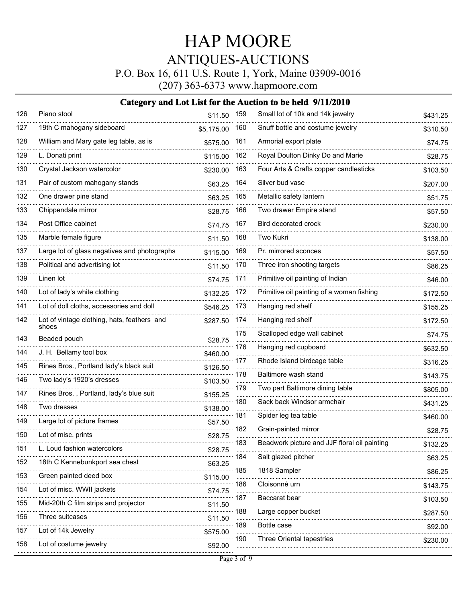P.O. Box 16, 611 U.S. Route 1, York, Maine 03909-0016

(207) 363-6373 www.hapmoore.com

| 126 | Piano stool                                          | \$11.50 159 |                 | Small lot of 10k and 14k jewelry             | \$431.25 |
|-----|------------------------------------------------------|-------------|-----------------|----------------------------------------------|----------|
| 127 | 19th C mahogany sideboard                            | \$5,175.00  | 160             | Snuff bottle and costume jewelry             | \$310.50 |
| 128 | William and Mary gate leg table, as is               | \$575.00    | 161             | Armorial export plate                        | \$74.75  |
| 129 | L. Donati print                                      | \$115.00    | 162             | Royal Doulton Dinky Do and Marie             | \$28.75  |
| 130 | Crystal Jackson watercolor                           | \$230.00    | 163             | Four Arts & Crafts copper candlesticks       | \$103.50 |
| 131 | Pair of custom mahogany stands                       | \$63.25     | 164             | Silver bud vase                              | \$207.00 |
| 132 | One drawer pine stand                                | \$63.25     | 165             | Metallic safety lantern                      | \$51.75  |
| 133 | Chippendale mirror                                   | \$28.75     | 166             | Two drawer Empire stand                      | \$57.50  |
| 134 | Post Office cabinet                                  | \$74.75     | 167             | Bird decorated crock                         | \$230.00 |
| 135 | Marble female figure                                 | \$11.50     | 168             | Two Kukri                                    | \$138.00 |
| 137 | Large lot of glass negatives and photographs         | \$115.00    | 169             | Pr. mirrored sconces                         | \$57.50  |
| 138 | Political and advertising lot                        | \$11.50     | 170             | Three iron shooting targets                  | \$86.25  |
| 139 | Linen lot                                            | \$74.75     | 171             | Primitive oil painting of Indian             | \$46.00  |
| 140 | Lot of lady's white clothing                         | \$132.25    | 172             | Primitive oil painting of a woman fishing    | \$172.50 |
| 141 | Lot of doll cloths, accessories and doll             | \$546.25    | 173             | Hanging red shelf                            | \$155.25 |
| 142 | Lot of vintage clothing, hats, feathers and<br>shoes | \$287.50    | 174             | Hanging red shelf                            | \$172.50 |
| 143 | Beaded pouch                                         | \$28.75     | 175<br>$\sim$   | Scalloped edge wall cabinet                  | \$74.75  |
| 144 | J. H. Bellamy tool box                               | \$460.00    | 176             | Hanging red cupboard                         | \$632.50 |
| 145 | Rines Bros., Portland lady's black suit              | \$126.50    | 177<br>$\ldots$ | Rhode Island birdcage table                  | \$316.25 |
| 146 | Two lady's 1920's dresses                            | \$103.50    | 178             | Baltimore wash stand                         | \$143.75 |
| 147 | Rines Bros., Portland, lady's blue suit              | \$155.25    | 179<br>$\sim$   | Two part Baltimore dining table              | \$805.00 |
| 148 | Two dresses                                          | \$138.00    | 180             | Sack back Windsor armchair                   | \$431.25 |
| 149 | Large lot of picture frames                          | \$57.50     | 181<br>$\ldots$ | Spider leg tea table                         | \$460.00 |
| 150 | Lot of misc. prints                                  | \$28.75     | 182             | Grain-painted mirror                         | \$28.75  |
| 151 | L. Loud fashion watercolors                          | \$28.75     | 183             | Beadwork picture and JJF floral oil painting | \$132.25 |
| 152 | 18th C Kennebunkport sea chest                       | \$63.25     | 184             | Salt glazed pitcher                          | \$63.25  |
| 153 | Green painted deed box                               | \$115.00    | 185             | 1818 Sampler                                 | \$86.25  |
| 154 | Lot of misc. WWII jackets                            | \$74.75     | 186             | Cloisonné urn                                | \$143.75 |
| 155 | Mid-20th C film strips and projector                 | \$11.50     | 187             | Baccarat bear                                | \$103.50 |
| 156 | Three suitcases                                      | \$11.50     | 188<br>.        | Large copper bucket                          | \$287.50 |
| 157 | Lot of 14k Jewelry                                   | \$575.00    | 189             | Bottle case                                  | \$92.00  |
| 158 | Lot of costume jewelry                               | \$92.00     | 190             | Three Oriental tapestries                    | \$230.00 |
|     |                                                      |             |                 |                                              |          |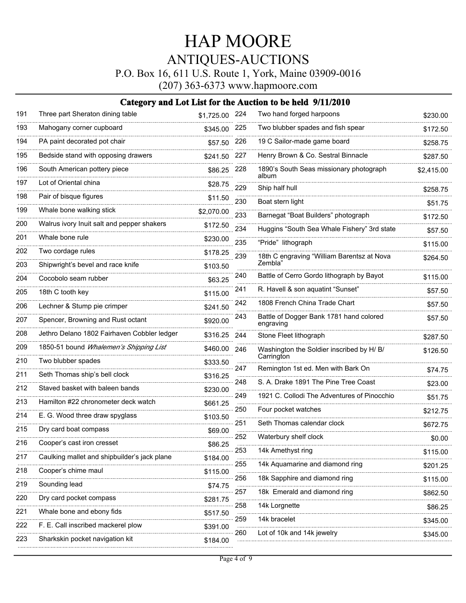P.O. Box 16, 611 U.S. Route 1, York, Maine 03909-0016

(207) 363-6373 www.hapmoore.com

| 191 | Three part Sheraton dining table                       | \$1,725.00 224                   |                        | Two hand forged harpoons                                | \$230.00   |
|-----|--------------------------------------------------------|----------------------------------|------------------------|---------------------------------------------------------|------------|
| 193 | Mahogany corner cupboard                               | \$345.00                         | 225                    | Two blubber spades and fish spear                       | \$172.50   |
| 194 | PA paint decorated pot chair                           | \$57.50                          | 226                    | 19 C Sailor-made game board                             | \$258.75   |
| 195 | Bedside stand with opposing drawers                    | \$241.50                         | 227                    | Henry Brown & Co. Sestral Binnacle                      | \$287.50   |
| 196 | South American pottery piece                           | \$86.25                          | 228                    | 1890's South Seas missionary photograph<br>album        | \$2,415.00 |
| 197 | Lot of Oriental china                                  | \$28.75                          | 229                    | Ship half hull                                          | \$258.75   |
| 198 | Pair of bisque figures                                 | \$11.50                          | 230                    | Boat stern light                                        | \$51.75    |
| 199 | Whale bone walking stick                               | \$2,070.00                       | 233                    | Barnegat "Boat Builders" photograph                     | \$172.50   |
| 200 | Walrus ivory Inuit salt and pepper shakers             | \$172.50                         | 234                    | Huggins "South Sea Whale Fishery" 3rd state             | \$57.50    |
| 201 | Whale bone rule                                        | \$230.00                         | 235                    | "Pride" lithograph                                      | \$115.00   |
| 202 | Two cordage rules                                      | \$178.25                         | 239                    | 18th C engraving "William Barentsz at Nova              | \$264.50   |
| 203 | Shipwright's bevel and race knife                      | \$103.50                         |                        | Zembla"                                                 |            |
| 204 | Cocobolo seam rubber                                   | \$63.25                          | 240                    | Battle of Cerro Gordo lithograph by Bayot               | \$115.00   |
| 205 | 18th C tooth key                                       | \$115.00                         | 241                    | R. Havell & son aquatint "Sunset"                       | \$57.50    |
| 206 | Lechner & Stump pie crimper                            | \$241.50                         | 242                    | 1808 French China Trade Chart                           | \$57.50    |
| 207 | Spencer, Browning and Rust octant                      | \$920.00                         | 243                    | Battle of Dogger Bank 1781 hand colored<br>engraving    | \$57.50    |
| 208 | Jethro Delano 1802 Fairhaven Cobbler ledger            | \$316.25                         | 244                    | Stone Fleet lithograph                                  | \$287.50   |
| 209 | 1850-51 bound Whalemen's Shipping List                 | \$460.00                         | 246                    | Washington the Soldier inscribed by H/ B/<br>Carrington | \$126.50   |
| 210 | Two blubber spades                                     | \$333.50<br>.                    | 247                    | Remington 1st ed. Men with Bark On                      | \$74.75    |
| 211 | Seth Thomas ship's bell clock                          | \$316.25                         | 248                    | S. A. Drake 1891 The Pine Tree Coast                    |            |
| 212 | Staved basket with baleen bands                        | \$230.00<br>                     | 249                    | 1921 C. Collodi The Adventures of Pinocchio             | \$23.00    |
| 213 | Hamilton #22 chronometer deck watch                    | \$661.25                         | 250                    | Four pocket watches                                     | \$51.75    |
| 214 | E. G. Wood three draw spyglass                         | \$103.50<br>.<br>--------------- |                        |                                                         | \$212.75   |
| 215 | Dry card boat compass                                  | \$69.00                          | 251                    | Seth Thomas calendar clock                              | \$672.75   |
| 216 | Cooper's cast iron cresset                             | \$86.25                          | 252                    | Waterbury shelf clock                                   | \$0.00     |
| 217 | Caulking mallet and shipbuilder's jack plane           | \$184.00                         | 253                    | 14k Amethyst ring                                       | \$115.00   |
| 218 | - . <del>.</del> . <del>.</del><br>Cooper's chime maul | \$115.00                         | 255<br>                | 14k Aquamarine and diamond ring                         | \$201.25   |
| 219 | Sounding lead                                          | \$74.75                          | 256<br>$\cdots \cdots$ | 18k Sapphire and diamond ring                           | \$115.00   |
| 220 | Dry card pocket compass                                | \$281.75                         | 257                    | 18k Emerald and diamond ring                            | \$862.50   |
| 221 | Whale bone and ebony fids                              | \$517.50                         | 258                    | 14k Lorgnette                                           | \$86.25    |
| 222 | F. E. Call inscribed mackerel plow                     | \$391.00                         | 259<br>1.1.1.1.1.1     | 14k bracelet                                            | \$345.00   |
| 223 | Sharkskin pocket navigation kit                        | \$184.00                         | 260                    | Lot of 10k and 14k jewelry                              | \$345.00   |
|     |                                                        |                                  |                        |                                                         |            |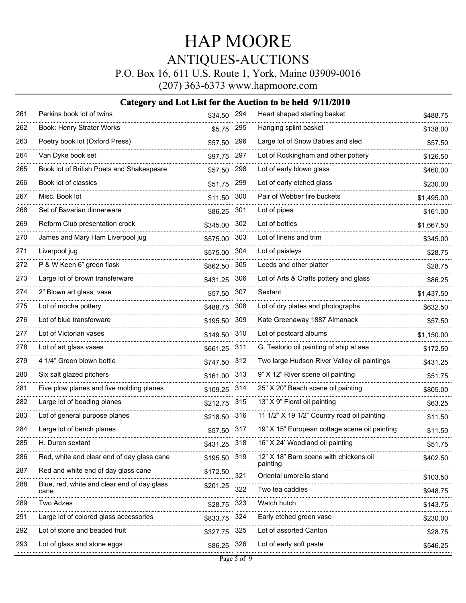P.O. Box 16, 611 U.S. Route 1, York, Maine 03909-0016

(207) 363-6373 www.hapmoore.com

| 261 | Perkins book lot of twins                           | \$34.50 294  |     | Heart shaped sterling basket                  | \$488.75   |
|-----|-----------------------------------------------------|--------------|-----|-----------------------------------------------|------------|
| 262 | Book: Henry Strater Works                           | \$5.75       | 295 | Hanging splint basket                         | \$138.00   |
| 263 | Poetry book lot (Oxford Press)                      | \$57.50      | 296 | Large lot of Snow Babies and sled             | \$57.50    |
| 264 | Van Dyke book set                                   | \$97.75      | 297 | Lot of Rockingham and other pottery           | \$126.50   |
| 265 | Book lot of British Poets and Shakespeare           | \$57.50      | 298 | Lot of early blown glass                      | \$460.00   |
| 266 | Book lot of classics                                | \$51.75      | 299 | Lot of early etched glass                     | \$230.00   |
| 267 | Misc. Book lot                                      | \$11.50      | 300 | Pair of Webber fire buckets                   | \$1,495.00 |
| 268 | Set of Bavarian dinnerware                          | \$86.25      | 301 | Lot of pipes                                  | \$161.00   |
| 269 | Reform Club presentation crock                      | \$345.00     | 302 | Lot of bottles                                | \$1,667.50 |
| 270 | James and Mary Ham Liverpool jug                    | \$575.00     | 303 | Lot of linens and trim                        | \$345.00   |
| 271 | Liverpool jug                                       | \$575.00     | 304 | Lot of paisleys                               | \$28.75    |
| 272 | P & W Keen 6" green flask                           | \$862.50     | 305 | Leeds and other platter                       | \$28.75    |
| 273 | Large lot of brown transferware                     | \$431.25     | 306 | Lot of Arts & Crafts pottery and glass        | \$86.25    |
| 274 | 2" Blown art glass vase                             | \$57.50      | 307 | Sextant                                       | \$1,437.50 |
| 275 | Lot of mocha pottery                                | \$488.75     | 308 | Lot of dry plates and photographs             | \$632.50   |
| 276 | Lot of blue transferware                            | \$195.50     | 309 | Kate Greenaway 1887 Almanack                  | \$57.50    |
| 277 | Lot of Victorian vases                              | \$149.50     | 310 | Lot of postcard albums                        | \$1,150.00 |
| 278 | Lot of art glass vases                              | \$661.25     | 311 | G. Testorio oil painting of ship at sea       | \$172.50   |
| 279 | 4 1/4" Green blown bottle                           | \$747.50     | 312 | Two large Hudson River Valley oil paintings   | \$431.25   |
| 280 | Six salt glazed pitchers                            | \$161.00     | 313 | 9" X 12" River scene oil painting             | \$51.75    |
| 281 | Five plow planes and five molding planes            | \$109.25     | 314 | 25" X 20" Beach scene oil painting            | \$805.00   |
| 282 | Large lot of beading planes                         | \$212.75     | 315 | 13" X 9" Floral oil painting                  | \$63.25    |
| 283 | Lot of general purpose planes                       | \$218.50     | 316 | 11 1/2" X 19 1/2" Country road oil painting   | \$11.50    |
| 284 | Large lot of bench planes                           | \$57.50      | 317 | 19" X 15" European cottage scene oil painting | \$11.50    |
| 285 | H. Duren sextant                                    | \$431.25 318 |     | 16" X 24' Woodland oil painting               | \$51.75    |
| 286 | Red, white and clear end of day glass cane          | \$195.50 319 |     | 12" X 18" Barn scene with chickens oil        | \$402.50   |
| 287 | Red and white end of day glass cane                 | \$172.50     | 321 | painting<br>Oriental umbrella stand           | \$103.50   |
| 288 | Blue, red, white and clear end of day glass<br>cane | \$201.25     | 322 | Two tea caddies                               | \$948.75   |
| 289 | Two Adzes                                           | \$28.75      | 323 | Watch hutch                                   | \$143.75   |
| 291 | Large lot of colored glass accessories              | \$833.75     | 324 | Early etched green vase                       | \$230.00   |
| 292 | Lot of stone and beaded fruit                       | \$327.75     | 325 | Lot of assorted Canton                        | \$28.75    |
| 293 | Lot of glass and stone eggs                         | \$86.25      | 326 | Lot of early soft paste                       | \$546.25   |
|     |                                                     |              |     |                                               |            |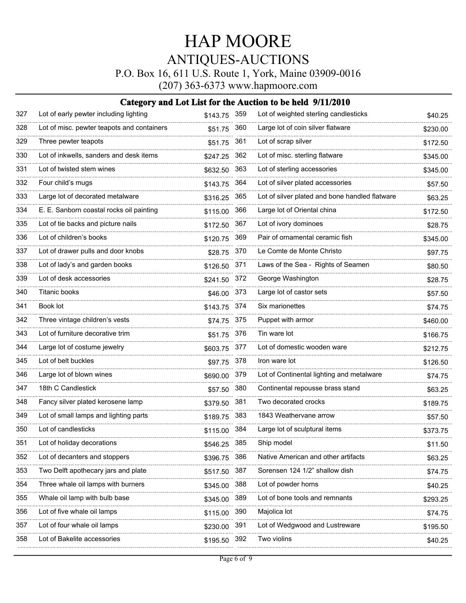P.O. Box 16, 611 U.S. Route 1, York, Maine 03909-0016

(207) 363-6373 www.hapmoore.com

| 327 | Lot of early pewter including lighting     | \$143.75 359 |     | Lot of weighted sterling candlesticks          | \$40.25  |
|-----|--------------------------------------------|--------------|-----|------------------------------------------------|----------|
| 328 | Lot of misc. pewter teapots and containers | \$51.75      | 360 | Large lot of coin silver flatware              | \$230.00 |
| 329 | Three pewter teapots                       | \$51.75      | 361 | Lot of scrap silver                            | \$172.50 |
| 330 | Lot of inkwells, sanders and desk items    | \$247.25     | 362 | Lot of misc. sterling flatware                 | \$345.00 |
| 331 | Lot of twisted stem wines                  | \$632.50     | 363 | Lot of sterling accessories                    | \$345.00 |
| 332 | Four child's mugs                          | \$143.75     | 364 | Lot of silver plated accessories               | \$57.50  |
| 333 | Large lot of decorated metalware           | \$316.25     | 365 | Lot of silver plated and bone handled flatware | \$63.25  |
| 334 | E. E. Sanborn coastal rocks oil painting   | \$115.00     | 366 | Large lot of Oriental china                    | \$172.50 |
| 335 | Lot of tie backs and picture nails         | \$172.50     | 367 | Lot of ivory dominoes                          | \$28.75  |
| 336 | Lot of children's books                    | \$120.75     | 369 | Pair of ornamental ceramic fish                | \$345.00 |
| 337 | Lot of drawer pulls and door knobs         | \$28.75      | 370 | Le Comte de Monte Christo                      | \$97.75  |
| 338 | Lot of lady's and garden books             | \$126.50     | 371 | Laws of the Sea - Rights of Seamen             | \$80.50  |
| 339 | Lot of desk accessories                    | \$241.50 372 |     | George Washington                              | \$28.75  |
| 340 | Titanic books                              | \$46.00 373  |     | Large lot of castor sets                       | \$57.50  |
| 341 | Book lot                                   | \$143.75 374 |     | Six marionettes                                | \$74.75  |
| 342 | Three vintage children's vests             | \$74.75 375  |     | Puppet with armor                              | \$460.00 |
| 343 | Lot of furniture decorative trim           | \$51.75      | 376 | Tin ware lot                                   | \$166.75 |
| 344 | Large lot of costume jewelry               | \$603.75     | 377 | Lot of domestic wooden ware                    | \$212.75 |
| 345 | Lot of belt buckles                        | \$97.75 378  |     | Iron ware lot                                  | \$126.50 |
| 346 | Large lot of blown wines                   | \$690.00     | 379 | Lot of Continental lighting and metalware      | \$74.75  |
| 347 | 18th C Candlestick                         | \$57.50      | 380 | Continental repousse brass stand               | \$63.25  |
| 348 | Fancy silver plated kerosene lamp          | \$379.50     | 381 | Two decorated crocks                           | \$189.75 |
| 349 | Lot of small lamps and lighting parts      | \$189.75     | 383 | 1843 Weathervane arrow                         | \$57.50  |
| 350 | Lot of candlesticks                        | \$115.00     | 384 | Large lot of sculptural items                  | \$373.75 |
| 351 | Lot of holiday decorations                 | \$546.25 385 |     | Ship model                                     | \$11.50  |
| 352 | Lot of decanters and stoppers              | \$396.75     | 386 | Native American and other artifacts            | \$63.25  |
| 353 | Two Delft apothecary jars and plate        | \$517.50     | 387 | Sorensen 124 1/2" shallow dish                 | \$74.75  |
| 354 | Three whale oil lamps with burners         | \$345.00     | 388 | Lot of powder horns                            | \$40.25  |
| 355 | Whale oil lamp with bulb base              | \$345.00     | 389 | Lot of bone tools and remnants                 | \$293.25 |
| 356 | Lot of five whale oil lamps                | \$115.00     | 390 | Majolica lot                                   | \$74.75  |
| 357 | Lot of four whale oil lamps                | \$230.00     | 391 | Lot of Wedgwood and Lustreware                 | \$195.50 |
| 358 | Lot of Bakelite accessories                | \$195.50     | 392 | Two violins                                    | \$40.25  |
|     |                                            |              |     |                                                |          |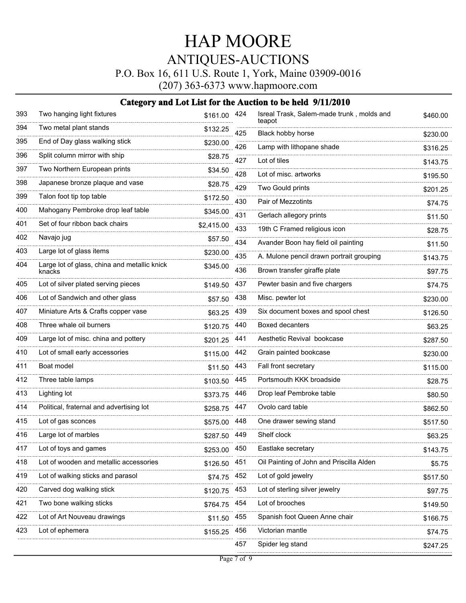P.O. Box 16, 611 U.S. Route 1, York, Maine 03909-0016

(207) 363-6373 www.hapmoore.com

| 393 | Two hanging light fixtures                             | \$161.00 424 |     | Isreal Trask, Salem-made trunk, molds and<br>teapot | \$460.00 |
|-----|--------------------------------------------------------|--------------|-----|-----------------------------------------------------|----------|
| 394 | Two metal plant stands                                 | \$132.25     | 425 | Black hobby horse                                   | \$230.00 |
| 395 | End of Day glass walking stick                         | \$230.00     | 426 | Lamp with lithopane shade                           | \$316.25 |
| 396 | Split column mirror with ship                          | \$28.75      | 427 | Lot of tiles                                        | \$143.75 |
| 397 | Two Northern European prints                           | \$34.50      | 428 | Lot of misc. artworks                               | \$195.50 |
| 398 | Japanese bronze plaque and vase                        | \$28.75      | 429 | Two Gould prints                                    | \$201.25 |
| 399 | Talon foot tip top table                               | \$172.50     | 430 | Pair of Mezzotints                                  | \$74.75  |
| 400 | Mahogany Pembroke drop leaf table                      | \$345.00     | 431 | Gerlach allegory prints                             | \$11.50  |
| 401 | Set of four ribbon back chairs                         | \$2,415.00   | 433 | 19th C Framed religious icon                        | \$28.75  |
| 402 | Navajo jug                                             | \$57.50      | 434 | Avander Boon hay field oil painting                 | \$11.50  |
| 403 | Large lot of glass items                               | \$230.00     | 435 | A. Mulone pencil drawn portrait grouping            | \$143.75 |
| 404 | Large lot of glass, china and metallic knick<br>knacks | \$345.00     | 436 | Brown transfer giraffe plate                        | \$97.75  |
| 405 | Lot of silver plated serving pieces                    | \$149.50     | 437 | Pewter basin and five chargers                      | \$74.75  |
| 406 | Lot of Sandwich and other glass                        | \$57.50 438  |     | Misc. pewter lot                                    | \$230.00 |
| 407 | Miniature Arts & Crafts copper vase                    | \$63.25      | 439 | Six document boxes and spool chest                  | \$126.50 |
| 408 | Three whale oil burners                                | \$120.75     | 440 | <b>Boxed decanters</b>                              | \$63.25  |
| 409 | Large lot of misc. china and pottery                   | \$201.25 441 |     | Aesthetic Revival bookcase                          | \$287.50 |
| 410 | Lot of small early accessories                         | \$115.00 442 |     | Grain painted bookcase                              | \$230.00 |
| 411 | Boat model                                             | \$11.50      | 443 | Fall front secretary                                | \$115.00 |
| 412 | Three table lamps                                      | \$103.50     | 445 | Portsmouth KKK broadside                            | \$28.75  |
| 413 | Lighting lot                                           | \$373.75     | 446 | Drop leaf Pembroke table                            | \$80.50  |
| 414 | Political, fraternal and advertising lot               | \$258.75     | 447 | Ovolo card table                                    | \$862.50 |
| 415 | Lot of gas sconces                                     | \$575.00     | 448 | One drawer sewing stand                             | \$517.50 |
| 416 | Large lot of marbles                                   | \$287.50 449 |     | Shelf clock                                         | \$63.25  |
| 417 | Lot of toys and games                                  | \$253.00 450 |     | Eastlake secretary                                  | \$143.75 |
| 418 | Lot of wooden and metallic accessories                 | \$126.50 451 |     | Oil Painting of John and Priscilla Alden            | \$5.75   |
| 419 | Lot of walking sticks and parasol                      | \$74.75 452  |     | Lot of gold jewelry                                 | \$517.50 |
| 420 | Carved dog walking stick                               | \$120.75     | 453 | Lot of sterling silver jewelry                      |          |
| 421 | Two bone walking sticks                                |              |     | Lot of brooches                                     | \$97.75  |
| 422 | Lot of Art Nouveau drawings                            | \$764.75 454 |     | Spanish foot Queen Anne chair                       | \$149.50 |
|     |                                                        | \$11.50      | 455 |                                                     | \$166.75 |
| 423 | Lot of ephemera                                        | \$155.25     | 456 | Victorian mantle                                    | \$74.75  |
|     |                                                        |              | 457 | Spider leg stand                                    | \$247.25 |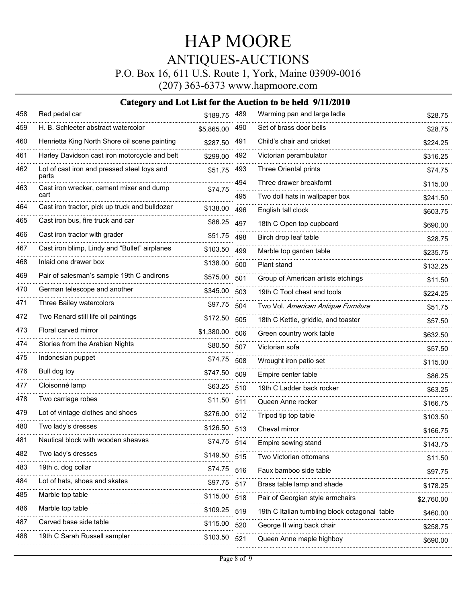P.O. Box 16, 611 U.S. Route 1, York, Maine 03909-0016

(207) 363-6373 www.hapmoore.com

| 458 | Red pedal car                                        | \$189.75 489 |     | Warming pan and large ladle                   | \$28.75    |
|-----|------------------------------------------------------|--------------|-----|-----------------------------------------------|------------|
| 459 | H. B. Schleeter abstract watercolor                  | \$5,865.00   | 490 | Set of brass door bells                       | \$28.75    |
| 460 | Henrietta King North Shore oil scene painting        | \$287.50     | 491 | Child's chair and cricket                     | \$224.25   |
| 461 | Harley Davidson cast iron motorcycle and belt        | \$299.00     | 492 | Victorian perambulator                        | \$316.25   |
| 462 | Lot of cast iron and pressed steel toys and<br>parts | \$51.75      | 493 | Three Oriental prints                         | \$74.75    |
| 463 | Cast iron wrecker, cement mixer and dump             | \$74.75      | 494 | Three drawer breakfornt                       | \$115.00   |
|     | cart                                                 |              | 495 | Two doll hats in wallpaper box                | \$241.50   |
| 464 | Cast iron tractor, pick up truck and bulldozer       | \$138.00     | 496 | English tall clock                            | \$603.75   |
| 465 | Cast iron bus, fire truck and car                    | \$86.25      | 497 | 18th C Open top cupboard                      | \$690.00   |
| 466 | Cast iron tractor with grader                        | \$51.75      | 498 | Birch drop leaf table                         | \$28.75    |
| 467 | Cast iron blimp, Lindy and "Bullet" airplanes        | \$103.50     | 499 | Marble top garden table                       | \$235.75   |
| 468 | Inlaid one drawer box                                | \$138.00     | 500 | Plant stand                                   | \$132.25   |
| 469 | Pair of salesman's sample 19th C andirons            | \$575.00     | 501 | Group of American artists etchings            | \$11.50    |
| 470 | German telescope and another                         | \$345.00     | 503 | 19th C Tool chest and tools                   | \$224.25   |
| 471 | Three Bailey watercolors                             | \$97.75      | 504 | Two Vol. American Antique Furniture           | \$51.75    |
| 472 | Two Renard still life oil paintings                  | \$172.50     | 505 | 18th C Kettle, griddle, and toaster           | \$57.50    |
| 473 | Floral carved mirror                                 | \$1,380.00   | 506 | Green country work table                      | \$632.50   |
| 474 | Stories from the Arabian Nights                      | \$80.50      | 507 | Victorian sofa                                | \$57.50    |
| 475 | Indonesian puppet                                    | \$74.75      | 508 | Wrought iron patio set                        | \$115.00   |
| 476 | Bull dog toy                                         | \$747.50     | 509 | Empire center table                           | \$86.25    |
| 477 | Cloisonné lamp                                       | \$63.25      | 510 | 19th C Ladder back rocker                     | \$63.25    |
| 478 | Two carriage robes                                   | \$11.50      | 511 | Queen Anne rocker                             | \$166.75   |
| 479 | Lot of vintage clothes and shoes                     | \$276.00     | 512 | Tripod tip top table                          | \$103.50   |
| 480 | Two lady's dresses                                   | \$126.50     | 513 | Cheval mirror                                 | \$166.75   |
| 481 | Nautical block with wooden sheaves                   | \$74.75 514  |     | Empire sewing stand                           | \$143.75   |
| 482 | Two lady's dresses                                   | \$149.50     | 515 | Two Victorian ottomans                        | \$11.50    |
| 483 | 19th c. dog collar                                   | \$74.75      | 516 | Faux bamboo side table                        | \$97.75    |
| 484 | Lot of hats, shoes and skates                        | \$97.75      | 517 | Brass table lamp and shade                    | \$178.25   |
| 485 | Marble top table                                     | \$115.00     | 518 | Pair of Georgian style armchairs              | \$2,760.00 |
| 486 | Marble top table                                     | \$109.25     | 519 | 19th C Italian tumbling block octagonal table | \$460.00   |
| 487 | Carved base side table                               | \$115.00     | 520 | George II wing back chair                     | \$258.75   |
| 488 | 19th C Sarah Russell sampler                         | \$103.50     | 521 | Queen Anne maple highboy                      | \$690.00   |
|     |                                                      |              |     |                                               |            |